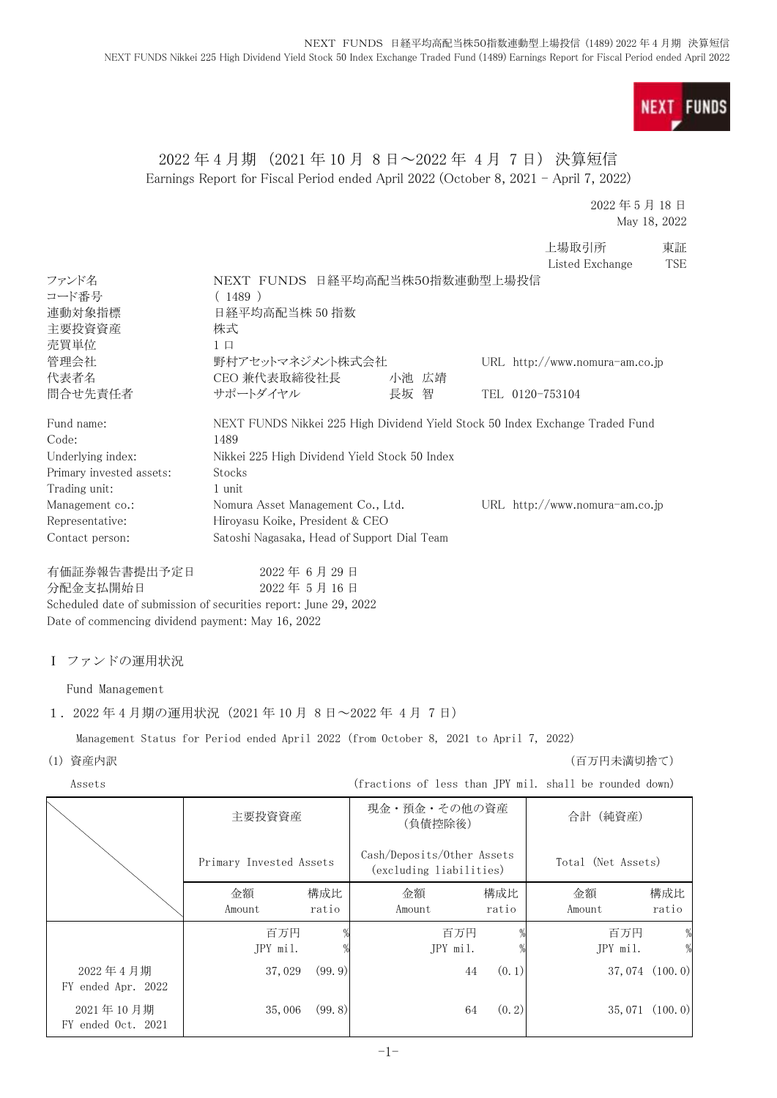**FUNDS NEXT** 

## 2022 年 4 月期 (2021 年 10 月 8 日~2022 年 4 月 7 日) 決算短信 Earnings Report for Fiscal Period ended April 2022 (October 8, 2021 - April 7, 2022)

2022 年 5 月 18 日 May 18, 2022

|                          |                                                                               |       |                 | 上場取引所                            | 東証  |
|--------------------------|-------------------------------------------------------------------------------|-------|-----------------|----------------------------------|-----|
|                          |                                                                               |       |                 | Listed Exchange                  | TSE |
| ファンド名                    | NEXT FUNDS 日経平均高配当株50指数連動型上場投信                                                |       |                 |                                  |     |
| コード番号                    | (1489)                                                                        |       |                 |                                  |     |
| 連動対象指標                   | 日経平均高配当株 50 指数                                                                |       |                 |                                  |     |
| 主要投資資産                   | 株式                                                                            |       |                 |                                  |     |
| 売買単位                     | $1 \Box$                                                                      |       |                 |                                  |     |
| 管理会社                     | 野村アセットマネジメント株式会社                                                              |       |                 | URL http://www.nomura-am.co.jp   |     |
| 代表者名                     | CEO 兼代表取締役社長                                                                  | 小池 広靖 |                 |                                  |     |
| 間合せ先責任者                  | サポートダイヤル                                                                      | 長坂 智  | TEL 0120-753104 |                                  |     |
| Fund name:               | NEXT FUNDS Nikkei 225 High Dividend Yield Stock 50 Index Exchange Traded Fund |       |                 |                                  |     |
| Code:                    | 1489                                                                          |       |                 |                                  |     |
| Underlying index:        | Nikkei 225 High Dividend Yield Stock 50 Index                                 |       |                 |                                  |     |
| Primary invested assets: | Stocks                                                                        |       |                 |                                  |     |
| Trading unit:            | 1 unit                                                                        |       |                 |                                  |     |
| Management co.:          | Nomura Asset Management Co., Ltd.                                             |       |                 | URL $http://www.nomura-am.co.jp$ |     |
| Representative:          | Hiroyasu Koike, President & CEO                                               |       |                 |                                  |     |
| Contact person:          | Satoshi Nagasaka, Head of Support Dial Team                                   |       |                 |                                  |     |
|                          | $0.000 \; \text{F}$ $\circ$ $\Box$ $0.0 \; \text{F}$                          |       |                 |                                  |     |

有価証券報告書提出予定日 2022 年 6 月 29 日 分配金支払開始日 2022 年 5 月 16 日 Scheduled date of submission of securities report: June 29, 2022 Date of commencing dividend payment: May 16, 2022

### Ⅰ ファンドの運用状況

Fund Management

### 1.2022 年 4 月期の運用状況(2021 年 10 月 8 日~2022 年 4 月 7 日)

Management Status for Period ended April 2022 (from October 8, 2021 to April 7, 2022)

(1) 資産内訳 (百万円未満切捨て)

Assets (fractions of less than JPY mil. shall be rounded down)

|                                 | 主要投資資産                  |              | 現金・預金・その他の資産<br>(負債控除後)                               |              | 合計 (純資産)           |                    |
|---------------------------------|-------------------------|--------------|-------------------------------------------------------|--------------|--------------------|--------------------|
|                                 | Primary Invested Assets |              | Cash/Deposits/Other Assets<br>(excluding liabilities) |              | Total (Net Assets) |                    |
|                                 | 金額<br>Amount            | 構成比<br>ratio | 金額<br>Amount                                          | 構成比<br>ratio | 金額<br>Amount       | 構成比<br>ratio       |
|                                 | 百万円<br>JPY mil.         |              | 百万円<br>JPY mil.                                       |              | 百万円<br>JPY mil.    | $\%$               |
| 2022年4月期<br>FY ended Apr. 2022  | 37,029                  | (99.9)       | 44                                                    | (0, 1)       |                    | $37,074$ $(100.0)$ |
| 2021年10月期<br>FY ended Oct. 2021 | 35,006                  | (99.8)       | 64                                                    | (0, 2)       |                    | $35,071$ $(100.0)$ |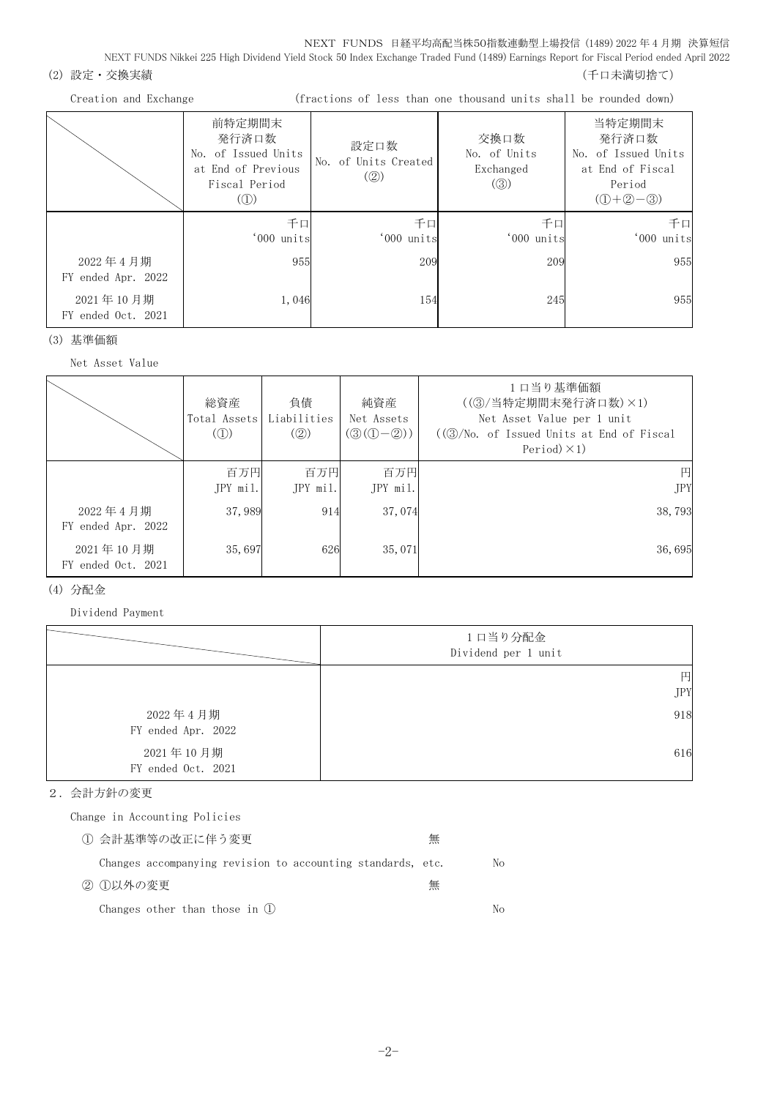NEXT FUNDS Nikkei 225 High Dividend Yield Stock 50 Index Exchange Traded Fund (1489) Earnings Report for Fiscal Period ended April 2022

- (2) 設定・交換実績 (2) 設定を支援する (1) この この この この この この この この この この この この (千口未満切捨て)
	-

Creation and Exchange (fractions of less than one thousand units shall be rounded down)

|                                 | 前特定期間末<br>発行済口数<br>No. of Issued Units<br>at End of Previous<br>Fiscal Period<br>$\left( $ | 設定口数<br>No. of Units Created<br>(Q) | 交換口数<br>No. of Units<br>Exchanged<br>$\left( \circledS\right)$ | 当特定期間末<br>発行済口数<br>No. of Issued Units<br>at End of Fiscal<br>Period<br>$(D+2-3)$ |
|---------------------------------|--------------------------------------------------------------------------------------------|-------------------------------------|----------------------------------------------------------------|-----------------------------------------------------------------------------------|
|                                 | 千口<br>'000 units                                                                           | 千口<br>'000 units                    | 千口<br>'000 units                                               | 千口<br>'000 units                                                                  |
| 2022年4月期<br>FY ended Apr. 2022  | 955                                                                                        | 209                                 | 209                                                            | 955                                                                               |
| 2021年10月期<br>FY ended Oct. 2021 | 1,046                                                                                      | 154                                 | 245                                                            | 955                                                                               |

(3) 基準価額

Net Asset Value

|                                 | 総資産<br>Total Assets Liabilities<br>$\mathcal{L}(\mathbb{D})$ | 負債<br>(Q)       | 純資産<br>Net Assets<br>$(\mathcal{D}(\mathbb{D}-\mathbb{D}))$ | 1口当り基準価額<br>((3)/当特定期間末発行済口数)×1)<br>Net Asset Value per 1 unit<br>$((3)/N0,$ of Issued Units at End of Fiscal<br>Period $)\times$ 1) |
|---------------------------------|--------------------------------------------------------------|-----------------|-------------------------------------------------------------|--------------------------------------------------------------------------------------------------------------------------------------|
|                                 | 百万円<br>JPY mil.                                              | 百万円<br>JPY mil. | 百万円<br>JPY mil.                                             | 円<br><b>JPY</b>                                                                                                                      |
| 2022年4月期<br>FY ended Apr. 2022  | 37,989                                                       | 914             | 37,074                                                      | 38,793                                                                                                                               |
| 2021年10月期<br>FY ended Oct. 2021 | 35,697                                                       | 626             | 35,071                                                      | 36,695                                                                                                                               |

### (4) 分配金

Dividend Payment

|                                 | 1口当り分配金<br>Dividend per 1 unit |
|---------------------------------|--------------------------------|
|                                 | 円                              |
|                                 | <b>JPY</b>                     |
| 2022年4月期<br>FY ended Apr. 2022  | 918                            |
| 2021年10月期<br>FY ended Oct. 2021 | 616                            |

### 2.会計方針の変更

Change in Accounting Policies

| ① 会計基準等の改正に伴う変更                                             | 無 |    |
|-------------------------------------------------------------|---|----|
| Changes accompanying revision to accounting standards, etc. |   | No |
| ② ①以外の変更                                                    | 無 |    |
| Changes other than those in (1)                             |   | Nο |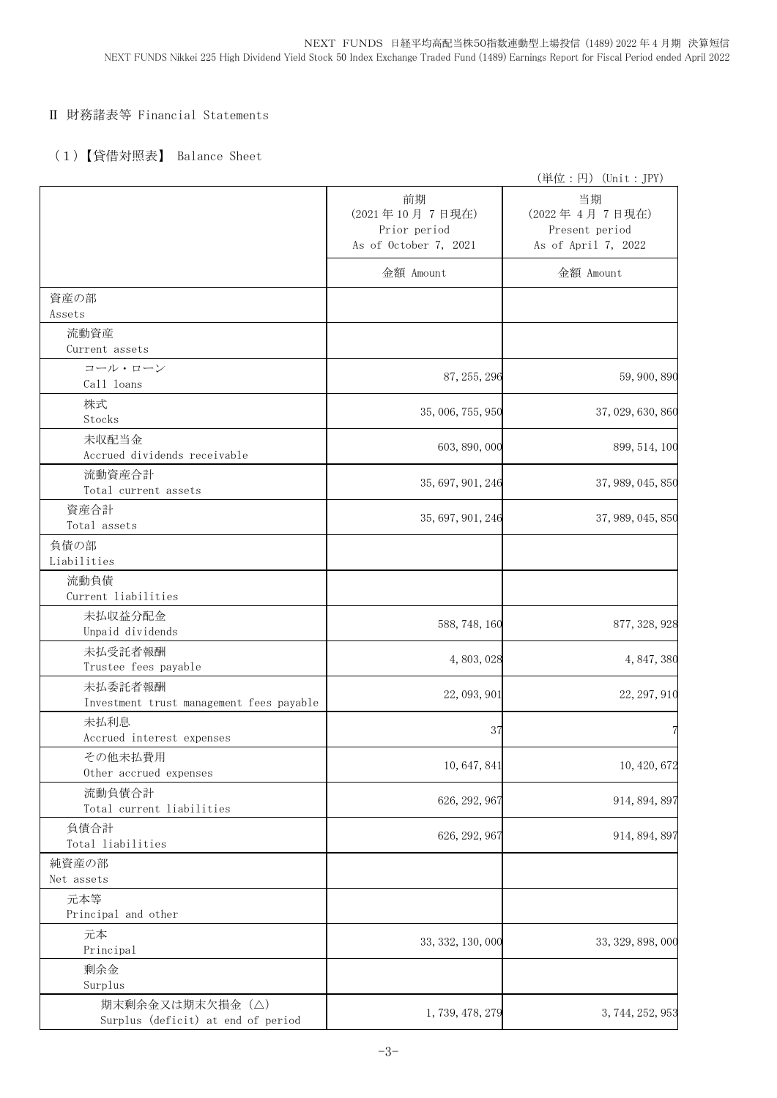### Ⅱ 財務諸表等 Financial Statements

## (1)【貸借対照表】 Balance Sheet

|                                                     |                                                               | (単位:円) (Unit: JPY)                                           |
|-----------------------------------------------------|---------------------------------------------------------------|--------------------------------------------------------------|
|                                                     | 前期<br>(2021年10月7日現在)<br>Prior period<br>As of October 7, 2021 | 当期<br>(2022年4月7日現在)<br>Present period<br>As of April 7, 2022 |
|                                                     | 金額 Amount                                                     | 金額 Amount                                                    |
| 資産の部<br>Assets                                      |                                                               |                                                              |
| 流動資産                                                |                                                               |                                                              |
| Current assets                                      |                                                               |                                                              |
| コール・ローン<br>Call loans                               | 87, 255, 296                                                  | 59, 900, 890                                                 |
| 株式<br>Stocks                                        | 35, 006, 755, 950                                             | 37, 029, 630, 860                                            |
| 未収配当金<br>Accrued dividends receivable               | 603, 890, 000                                                 | 899, 514, 100                                                |
| 流動資産合計                                              | 35, 697, 901, 246                                             | 37, 989, 045, 850                                            |
| Total current assets<br>資産合計                        |                                                               |                                                              |
| Total assets                                        | 35, 697, 901, 246                                             | 37, 989, 045, 850                                            |
| 負債の部<br>Liabilities                                 |                                                               |                                                              |
| 流動負債<br>Current liabilities                         |                                                               |                                                              |
| 未払収益分配金<br>Unpaid dividends                         | 588, 748, 160                                                 | 877, 328, 928                                                |
| 未払受託者報酬<br>Trustee fees payable                     | 4,803,028                                                     | 4, 847, 380                                                  |
| 未払委託者報酬<br>Investment trust management fees payable | 22, 093, 901                                                  | 22, 297, 910                                                 |
| 未払利息<br>Accrued interest expenses                   | 37                                                            | 7                                                            |
| その他未払費用<br>Other accrued expenses                   | 10, 647, 841                                                  | 10, 420, 672                                                 |
| 流動負債合計<br>Total current liabilities                 | 626, 292, 967                                                 | 914, 894, 897                                                |
| 負債合計<br>Total liabilities                           | 626, 292, 967                                                 | 914, 894, 897                                                |
| 純資産の部                                               |                                                               |                                                              |
| Net assets                                          |                                                               |                                                              |
| 元本等<br>Principal and other                          |                                                               |                                                              |
| 元本<br>Principal                                     | 33, 332, 130, 000                                             | 33, 329, 898, 000                                            |
| 剰余金<br>Surplus                                      |                                                               |                                                              |
| 期末剰余金又は期末欠損金(△)                                     |                                                               |                                                              |
| Surplus (deficit) at end of period                  | 1, 739, 478, 279                                              | 3, 744, 252, 953                                             |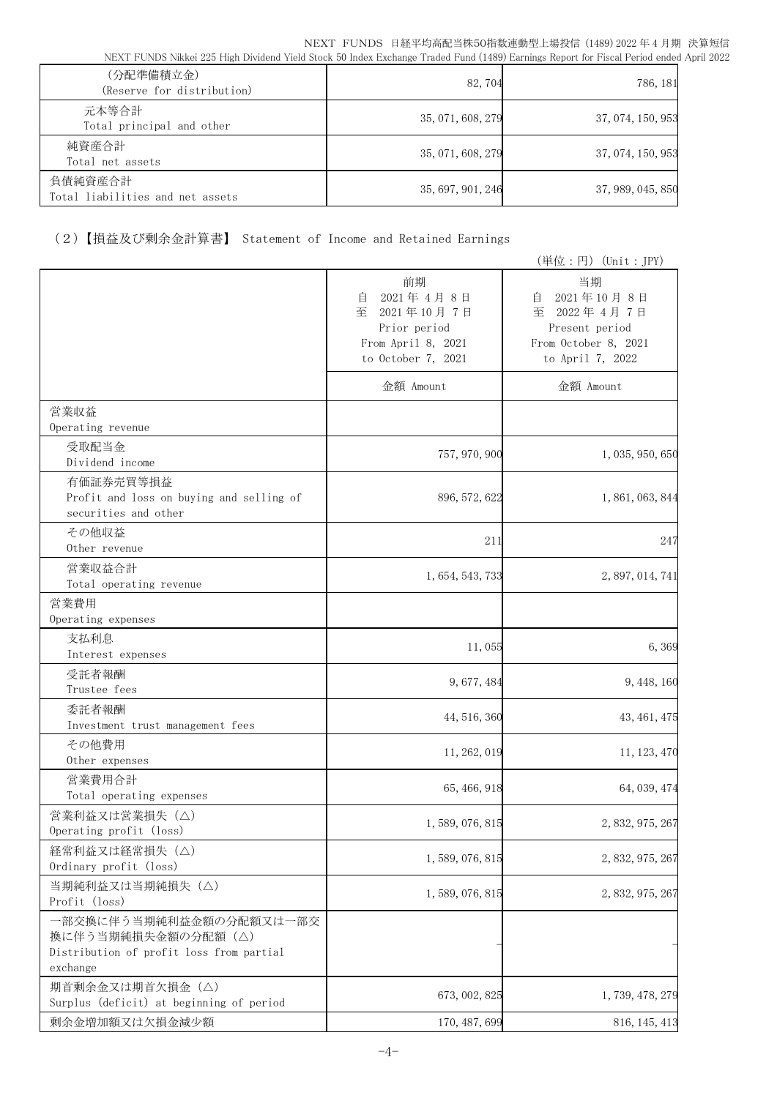| (分配準備積立金)<br>(Reserve for distribution)     | 82,704            | 786, 181          |
|---------------------------------------------|-------------------|-------------------|
| 元本等合計<br>Total principal and other          | 35, 071, 608, 279 | 37, 074, 150, 953 |
| 純資産合計<br>Total net assets                   | 35, 071, 608, 279 | 37, 074, 150, 953 |
| 負債純資産合計<br>Total liabilities and net assets | 35, 697, 901, 246 | 37, 989, 045, 850 |

# (2)【損益及び剰余金計算書】 Statement of Income and Retained Earnings

|                                                                                                       |                                                                                                     | (単位:円) (Unit: JPY)                                                                                    |
|-------------------------------------------------------------------------------------------------------|-----------------------------------------------------------------------------------------------------|-------------------------------------------------------------------------------------------------------|
|                                                                                                       | 前期<br>2021年4月8日<br>自<br>至<br>2021年10月7日<br>Prior period<br>From April 8, 2021<br>to October 7, 2021 | 当期<br>2021年10月8日<br>目<br>至<br>2022年4月7日<br>Present period<br>From October 8, 2021<br>to April 7, 2022 |
|                                                                                                       | 金額 Amount                                                                                           | 金額 Amount                                                                                             |
| 営業収益<br>Operating revenue                                                                             |                                                                                                     |                                                                                                       |
| 受取配当金<br>Dividend income                                                                              | 757, 970, 900                                                                                       | 1, 035, 950, 650                                                                                      |
| 有価証券売買等損益<br>Profit and loss on buying and selling of<br>securities and other                         | 896, 572, 622                                                                                       | 1, 861, 063, 844                                                                                      |
| その他収益<br>Other revenue                                                                                | 211                                                                                                 | 247                                                                                                   |
| 営業収益合計<br>Total operating revenue                                                                     | 1, 654, 543, 733                                                                                    | 2, 897, 014, 741                                                                                      |
| 営業費用<br>Operating expenses                                                                            |                                                                                                     |                                                                                                       |
| 支払利息<br>Interest expenses                                                                             | 11,055                                                                                              | 6,369                                                                                                 |
| 受託者報酬<br>Trustee fees                                                                                 | 9,677,484                                                                                           | 9, 448, 160                                                                                           |
| 委託者報酬<br>Investment trust management fees                                                             | 44, 516, 360                                                                                        | 43, 461, 475                                                                                          |
| その他費用<br>Other expenses                                                                               | 11, 262, 019                                                                                        | 11, 123, 470                                                                                          |
| 営業費用合計<br>Total operating expenses                                                                    | 65, 466, 918                                                                                        | 64, 039, 474                                                                                          |
| 営業利益又は営業損失 (△)<br>Operating profit (loss)                                                             | 1, 589, 076, 815                                                                                    | 2, 832, 975, 267                                                                                      |
| 経常利益又は経常損失 (△)<br>Ordinary profit (loss)                                                              | 1, 589, 076, 815                                                                                    | 2, 832, 975, 267                                                                                      |
| 当期純利益又は当期純損失 (△)<br>Profit (loss)                                                                     | 1, 589, 076, 815                                                                                    | 2, 832, 975, 267                                                                                      |
| 一部交換に伴う当期純利益金額の分配額又は一部交<br>換に伴う当期純損失金額の分配額(△)<br>Distribution of profit loss from partial<br>exchange |                                                                                                     |                                                                                                       |
| 期首剰余金又は期首欠損金(△)<br>Surplus (deficit) at beginning of period                                           | 673, 002, 825                                                                                       | 1, 739, 478, 279                                                                                      |
| 剰余金増加額又は欠損金減少額                                                                                        | 170, 487, 699                                                                                       | 816, 145, 413                                                                                         |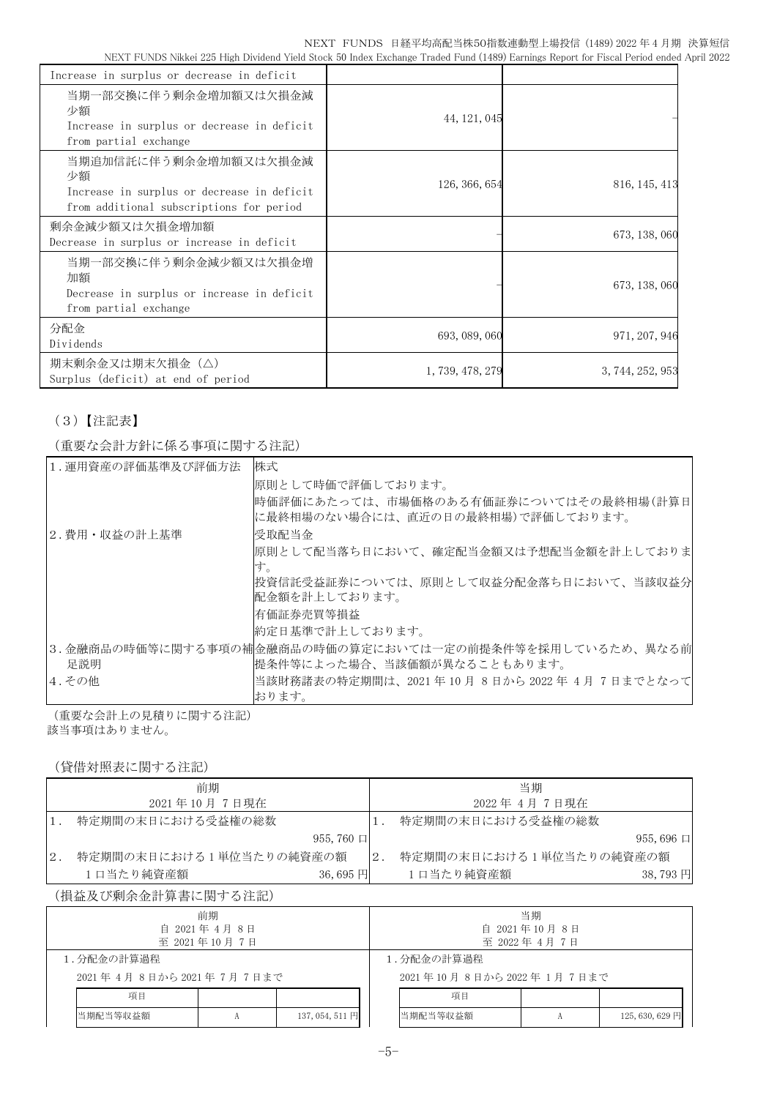| Increase in surplus or decrease in deficit                                                                            |                  |                  |
|-----------------------------------------------------------------------------------------------------------------------|------------------|------------------|
| 当期一部交換に伴う剰余金増加額又は欠損金減<br>少額<br>Increase in surplus or decrease in deficit<br>from partial exchange                    | 44, 121, 045     |                  |
| 当期追加信託に伴う剰余金増加額又は欠損金減<br>少額<br>Increase in surplus or decrease in deficit<br>from additional subscriptions for period | 126, 366, 654    | 816, 145, 413    |
| 剰余金減少額又は欠損金増加額<br>Decrease in surplus or increase in deficit                                                          |                  | 673, 138, 060    |
| 当期一部交換に伴う剰余金減少額又は欠損金増<br>加額<br>Decrease in surplus or increase in deficit<br>from partial exchange                    |                  | 673, 138, 060    |
| 分配金<br>Dividends                                                                                                      | 693, 089, 060    | 971, 207, 946    |
| 期末剰余金又は期末欠損金(△)<br>Surplus (deficit) at end of period                                                                 | 1, 739, 478, 279 | 3, 744, 252, 953 |

# (3)【注記表】

(重要な会計方針に係る事項に関する注記)

| 1.運用資産の評価基準及び評価方法 | 株式                                                                           |
|-------------------|------------------------------------------------------------------------------|
|                   |                                                                              |
|                   | 原則として時価で評価しております。                                                            |
|                   | 時価評価にあたっては、市場価格のある有価証券についてはその最終相場(計算日 <br> に最終相場のない場合には、直近の日の最終相場)で評価しております。 |
| 2.費用・収益の計上基準      | 受取配当金                                                                        |
|                   | 原則として配当落ち日において、確定配当金額又は予想配当金額を計上しておりま <br>す。                                 |
|                   | 投資信託受益証券については、原則として収益分配金落ち日において、当該収益分                                        |
|                   | 配金額を計上しております。                                                                |
|                   | 有価証券売買等損益                                                                    |
|                   | 約定日基準で計上しております。                                                              |
|                   | 3.金融商品の時価等に関する事項の補金融商品の時価の算定においては一定の前提条件等を採用しているため、異なる前                      |
| 足説明               | 提条件等によった場合、当該価額が異なることもあります。                                                  |
| 4. その他            | 当該財務諸表の特定期間は、2021 年 10 月 8 日から 2022 年 4月 7日までとなって                            |
|                   | おります。                                                                        |

(重要な会計上の見積りに関する注記) 該当事項はありません。

## (貸借対照表に関する注記)

|     | 前期                      |                  |        | 当期                      |                  |
|-----|-------------------------|------------------|--------|-------------------------|------------------|
|     | 2021年10月7日現在            |                  |        | 2022 年 4 月 7 日現在        |                  |
|     | 特定期間の末日における受益権の総数       |                  |        | 特定期間の末日における受益権の総数       |                  |
|     |                         | $955,760$ $\Box$ |        |                         | $955,696$ $\Box$ |
| 12. | 特定期間の末日における1単位当たりの純資産の額 |                  | $-2$ . | 特定期間の末日における1単位当たりの純資産の額 |                  |
|     | 1口当たり純資産額               | 36,695 $H$       |        | 1口当たり純資産額               | 38,793円          |

## (損益及び剰余金計算書に関する注記)

| 前期<br>自 2021年4月8日<br>至 2021年10月7日 |          |    |                         | 当期<br>自 2021年10月8日<br>至 2022年4月7日 |  |                 |
|-----------------------------------|----------|----|-------------------------|-----------------------------------|--|-----------------|
| 1.分配金の計算過程                        |          |    | 1. 分配金の計算過程             |                                   |  |                 |
| 2021年4月8日から2021年7月7日まで            |          |    | 2021年10月8日から2022年1月7日まで |                                   |  |                 |
| 項目                                |          | 項目 |                         |                                   |  |                 |
|                                   | 当期配当等収益額 |    | 137,054,511円            | 当期配当等収益額                          |  | 125, 630, 629 円 |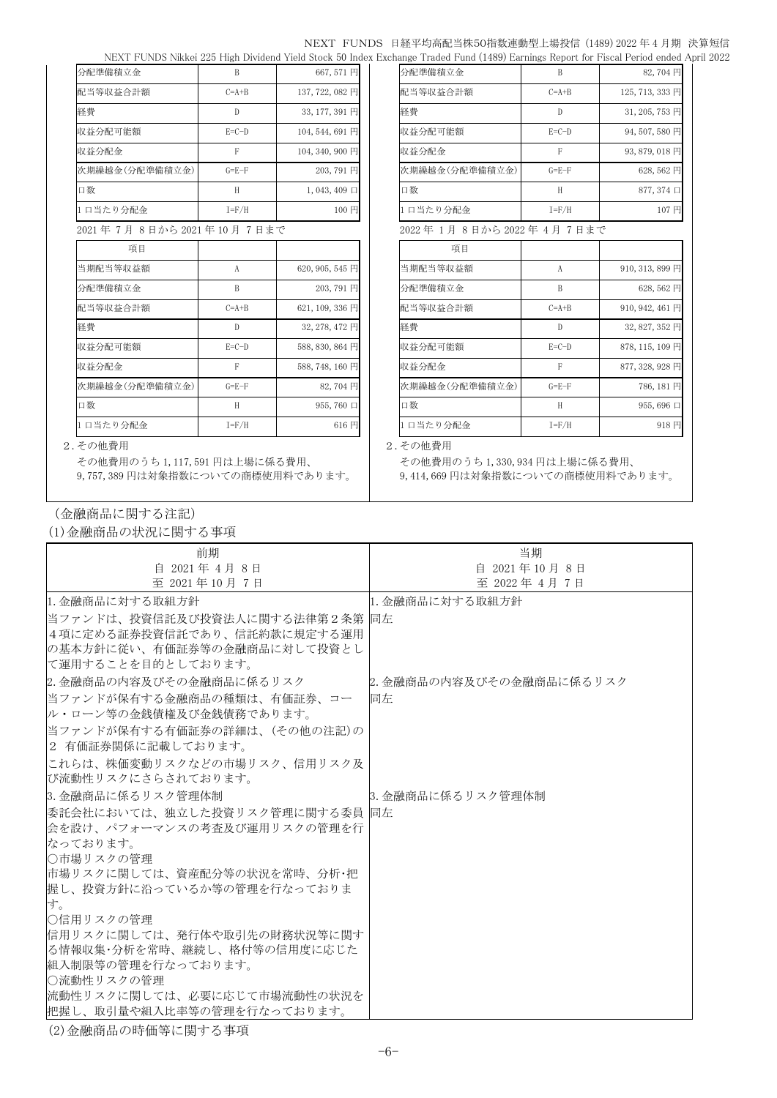### NEXT FUNDS 日経平均高配当株50指数連動型上場投信 (1489) 2022 年 4 月期 決算短信 NEXT FUNDS Nikkei 225 High Dividend Yield Stock 50 Index Exchange Traded Fund (1489) Earnings Report for Fiscal Period ended April 2022

| 分配準備積立金                 | B           | 667,571円            | 分配準備積立金                | B            | 82,704円         |
|-------------------------|-------------|---------------------|------------------------|--------------|-----------------|
| 配当等収益合計額                | $C=A+B$     | 137, 722, 082 円     | 配当等収益合計額               | $C=A+B$      | 125, 713, 333 円 |
| 経費                      | D           | 33, 177, 391 円      | 経費                     | D            | 31, 205, 753 円  |
| 収益分配可能額                 | $E=C-D$     | 104, 544, 691 円     | 収益分配可能額                | $E=C-D$      | 94,507,580円     |
| 収益分配金                   | F           | 104, 340, 900 円     | 収益分配金                  | F            | 93,879,018円     |
| 次期繰越金(分配準備積立金)          | $G = E - F$ | 203,791円            | 次期繰越金(分配準備積立金)         | $G = E - F$  | 628,562円        |
| 口数                      | H           | $1,043,409 \square$ | 口数                     | H            | 877, 374 口      |
| 1日当たり分配金                | $I = F/H$   | 100円                | 1日当たり分配金               | $I = F/H$    | 107円            |
| 2021年7月8日から2021年10月7日まで |             |                     | 2022年1月8日から2022年4月7日まで |              |                 |
| 項目                      |             |                     | 項目                     |              |                 |
| 当期配当等収益額                | A           | 620, 905, 545 円     | 当期配当等収益額               | A            | 910, 313, 899 円 |
| 分配準備積立金                 | B           | 203,791円            | 分配準備積立金                | B            | 628,562円        |
| 配当等収益合計額                | $C=A+B$     | 621, 109, 336 円     | 配当等収益合計額               | $C=A+B$      | 910, 942, 461 円 |
| 経費                      | D           | 32, 278, 472 円      | 経費                     | $\mathbb{D}$ | 32,827,352円     |
| 収益分配可能額                 | $E=C-D$     | 588, 830, 864 円     | 収益分配可能額                | $E=C-D$      | 878, 115, 109 円 |
| 収益分配金                   | F           | 588, 748, 160 円     | 収益分配金                  | F            | 877, 328, 928 円 |
| 次期繰越金(分配準備積立金)          | $G = E - F$ | 82,704円             | 次期繰越金(分配準備積立金)         | $G = E - F$  | 786,181円        |
| 口数                      | H           | 955,760 口           | 口数                     | H            | 955,696 口       |
| 1日当たり分配金                | $I = F/H$   | 616円                | 1日当たり分配金               | $I = F/H$    | 918円            |

| 項目             |             |                 |
|----------------|-------------|-----------------|
| 当期配当等収益額       | A           | 910, 313, 899 円 |
| 分配準備積立金        | B           | 628,562円        |
| 配当等収益合計額       | $C=A+B$     | 910, 942, 461 円 |
| 経費             | D           | 32, 827, 352 円  |
| 収益分配可能額        | $E=C-D$     | 878, 115, 109 円 |
| 収益分配金          | F           | 877, 328, 928 円 |
| 次期繰越金(分配準備積立金) | $G = E - F$ | 786, 181 円      |
| 口数             | H           | 955,696口        |
| 1日当たり分配金       | $I = F/H$   | 918円            |

#### 2.その他費用 2.その他費用

その他費用のうち 1,117,591 円は上場に係る費用、 9,757,389 円は対象指数についての商標使用料であります。

その他費用のうち 1,330,934 円は上場に係る費用、 9,414,669 円は対象指数についての商標使用料であります。

(金融商品に関する注記)

(1)金融商品の状況に関する事項

| 前期                               | 当期                       |
|----------------------------------|--------------------------|
| 自 2021年 4月 8日                    | 自 2021年10月8日             |
| 至 2021年10月7日                     | 至 2022年 4月 7日            |
| 1. 金融商品に対する取組方針                  | 1. 金融商品に対する取組方針          |
| 当ファンドは、投資信託及び投資法人に関する法律第2条第  同左  |                          |
| 4 項に定める証券投資信託であり、信託約款に規定する運用     |                          |
| の基本方針に従い、有価証券等の金融商品に対して投資とし      |                          |
| に運用することを目的としております。               |                          |
| 2. 金融商品の内容及びその金融商品に係るリスク         | 2. 金融商品の内容及びその金融商品に係るリスク |
| 当ファンドが保有する金融商品の種類は、有価証券、コー       | 同左                       |
| ル・ローン等の金銭債権及び金銭債務であります。          |                          |
| 当ファンドが保有する有価証券の詳細は、(その他の注記)の     |                          |
| 2 有価証券関係に記載しております。               |                          |
| これらは、株価変動リスクなどの市場リスク、信用リスク及      |                          |
| び流動性リスクにさらされております。               |                          |
| 3. 金融商品に係るリスク管理体制                | 8. 金融商品に係るリスク管理体制        |
| 委託会社においては、独立した投資リスク管理に関する委員   同左 |                          |
| 会を設け、パフォーマンスの考査及び運用リスクの管理を行      |                          |
| なっております。                         |                          |
| ○市場リスクの管理                        |                          |
| 市場リスクに関しては、資産配分等の状況を常時、分析・把      |                          |
| 握し、投資方針に沿っているか等の管理を行なっておりま       |                          |
| す。<br>○信用リスクの管理                  |                          |
| 信用リスクに関しては、発行体や取引先の財務状況等に関す      |                          |
| る情報収集・分析を常時、継続し、格付等の信用度に応じた      |                          |
| 組入制限等の管理を行なっております。               |                          |
| ○流動性リスクの管理                       |                          |
| 流動性リスクに関しては、必要に応じて市場流動性の状況を      |                          |
| 把握し、取引量や組入比率等の管理を行なっております。       |                          |

(2)金融商品の時価等に関する事項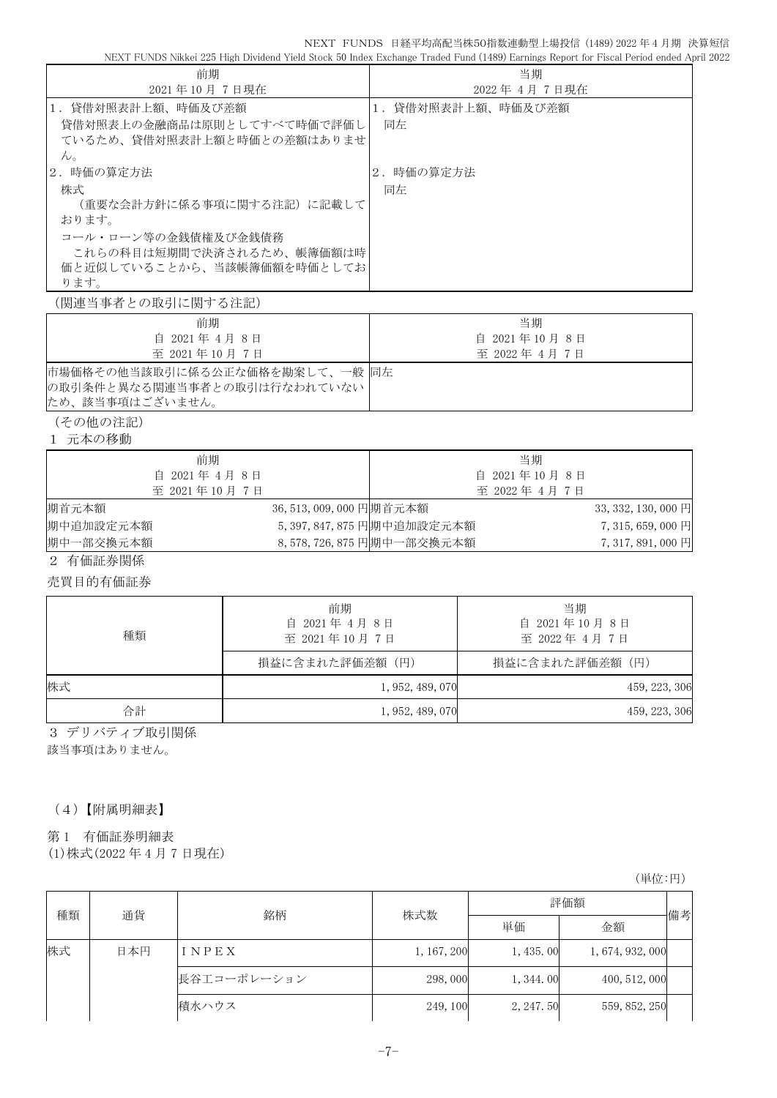NEXT FUNDS 日経平均高配当株50指数連動型上場投信 (1489) 2022 年 4 月期 決算短信<br>d Stock 50 Index Exchange Traded Fund (1489) Earnings Report for Fiscal Period ended April 2022

NEXT FUNDS Nikkei 225 High Dividend Yield Stock 50 Index Exchange Traded Fund (1489) Earnings Report for Fiscal Period ended April 2022

| 前期                                                                               | NEXT FUNDS Nikkei 225 High Dividend Yield Stock 50 Index Exchange Traded Fund (1489) Earnings Report for Fiscal Period ended Apr |                    | 当期                 |                     |
|----------------------------------------------------------------------------------|----------------------------------------------------------------------------------------------------------------------------------|--------------------|--------------------|---------------------|
| 2021年10月7日現在                                                                     |                                                                                                                                  |                    | 2022年4月7日現在        |                     |
| 1. 貸借対照表計上額、時価及び差額                                                               |                                                                                                                                  |                    | 1. 貸借対照表計上額、時価及び差額 |                     |
| 貸借対照表上の金融商品は原則としてすべて時価で評価し<br>ているため、貸借対照表計上額と時価との差額はありませ                         |                                                                                                                                  | 同左                 |                    |                     |
| $h_{\circ}$                                                                      |                                                                                                                                  |                    |                    |                     |
| 2. 時価の算定方法                                                                       | 2. 時価の算定方法                                                                                                                       |                    |                    |                     |
| 株式<br>(重要な会計方針に係る事項に関する注記) に記載して                                                 |                                                                                                                                  | 同左                 |                    |                     |
| おります。                                                                            |                                                                                                                                  |                    |                    |                     |
| コール・ローン等の金銭債権及び金銭債務                                                              |                                                                                                                                  |                    |                    |                     |
| これらの科目は短期間で決済されるため、帳簿価額は時                                                        |                                                                                                                                  |                    |                    |                     |
| 価と近似していることから、当該帳簿価額を時価としてお                                                       |                                                                                                                                  |                    |                    |                     |
| ります。                                                                             |                                                                                                                                  |                    |                    |                     |
| (関連当事者との取引に関する注記)                                                                |                                                                                                                                  |                    |                    |                     |
| 前期                                                                               |                                                                                                                                  |                    | 当期                 |                     |
| 自 2021年 4月 8日                                                                    |                                                                                                                                  |                    | 自 2021年10月8日       |                     |
| 至 2021年10月7日                                                                     |                                                                                                                                  |                    | 至 2022年 4月 7日      |                     |
| 市場価格その他当該取引に係る公正な価格を勘案して、一般 同左<br>の取引条件と異なる関連当事者との取引は行なわれていない<br>ため、該当事項はございません。 |                                                                                                                                  |                    |                    |                     |
| (その他の注記)                                                                         |                                                                                                                                  |                    |                    |                     |
| 1 元本の移動                                                                          |                                                                                                                                  |                    |                    |                     |
|                                                                                  |                                                                                                                                  |                    |                    |                     |
| 前期<br>自 2021年 4月 8日                                                              |                                                                                                                                  | 当期<br>自 2021年10月8日 |                    |                     |
| 至 2021年10月7日                                                                     |                                                                                                                                  | 至 2022年 4月 7日      |                    |                     |
| 期首元本額                                                                            | 36,513,009,000 円期首元本額                                                                                                            |                    |                    | 33, 332, 130, 000 円 |
| 期中追加設定元本額                                                                        | 5, 397, 847, 875 円期中追加設定元本額                                                                                                      |                    |                    | 7,315,659,000 円     |
| 期中一部交換元本額                                                                        | 8,578,726,875 円期中一部交換元本額                                                                                                         |                    |                    | 7, 317, 891, 000 円  |
| 2 有価証券関係                                                                         |                                                                                                                                  |                    |                    |                     |
|                                                                                  |                                                                                                                                  |                    |                    |                     |
| 売買目的有価証券                                                                         |                                                                                                                                  |                    |                    |                     |
|                                                                                  | 前期                                                                                                                               |                    | 当期                 |                     |
|                                                                                  | 自 2021年4月8日                                                                                                                      |                    | 自 2021年10月8日       |                     |
| 種類                                                                               | 至 2021年10月7日                                                                                                                     |                    | 至 2022年 4月 7日      |                     |
|                                                                                  | 損益に含まれた評価差額(円)                                                                                                                   |                    | 損益に含まれた評価差額 (円)    |                     |
| 株式                                                                               |                                                                                                                                  | 1, 952, 489, 070   |                    | 459, 223, 306       |
| 合計                                                                               |                                                                                                                                  | 1, 952, 489, 070   |                    | 459, 223, 306       |
| 3 デリバティブ取引関係                                                                     |                                                                                                                                  |                    |                    |                     |
| 該当事項はありません。                                                                      |                                                                                                                                  |                    |                    |                     |
|                                                                                  |                                                                                                                                  |                    |                    |                     |
|                                                                                  |                                                                                                                                  |                    |                    |                     |
| (4) 【附属明細表】                                                                      |                                                                                                                                  |                    |                    |                     |
| 有価証券明細表<br>第1                                                                    |                                                                                                                                  |                    |                    |                     |
| (1) 株式 (2022 年 4 月 7 日現在)                                                        |                                                                                                                                  |                    |                    |                     |
|                                                                                  |                                                                                                                                  |                    |                    |                     |
|                                                                                  |                                                                                                                                  |                    |                    | (単位:円)              |
|                                                                                  |                                                                                                                                  |                    |                    |                     |

| 種類 | 通貨  | 銘柄          | 株式数         | 評価額       |                  |    |
|----|-----|-------------|-------------|-----------|------------------|----|
|    |     |             |             | 単価        | 金額               | 備考 |
| 株式 | 日本円 | INPEX       | 1, 167, 200 | 1, 435.00 | 1, 674, 932, 000 |    |
|    |     | 長谷工コーポレーション | 298,000     | 1, 344.00 | 400, 512, 000    |    |
|    |     | 積水ハウス       | 249, 100    | 2, 247.50 | 559, 852, 250    |    |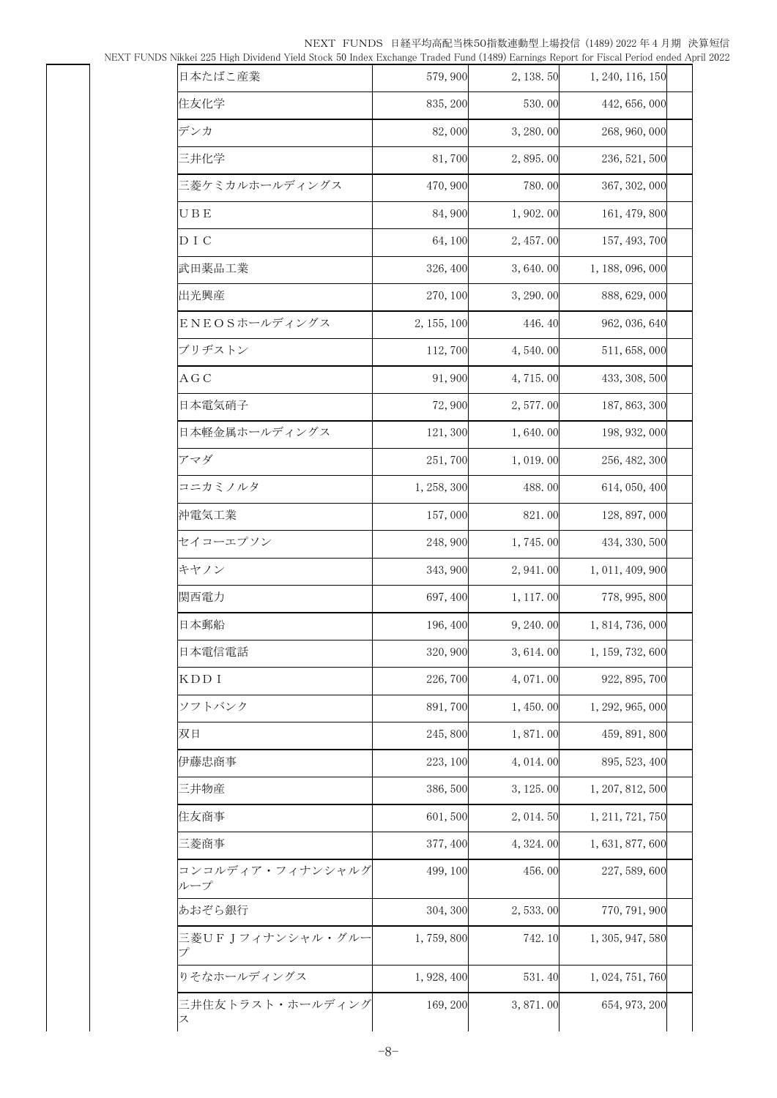NEXT FUNDS 日経平均高配当株50指数連動型上場投信 (1489) 2022 年 4 月期 決算短信 NEXT FUNDS Nikkei 225 High Dividend Yield Stock 50 Index Exchange Traded Fund (1489) Earnings Report for Fiscal Period ended April 2022

| 日本たばこ産業                 | 579, 900    | 2, 138.50  | 1, 240, 116, 150 |  |
|-------------------------|-------------|------------|------------------|--|
| 住友化学                    | 835, 200    | 530.00     | 442, 656, 000    |  |
| デンカ                     | 82,000      | 3, 280.00  | 268, 960, 000    |  |
| 三井化学                    | 81,700      | 2,895.00   | 236, 521, 500    |  |
| 三菱ケミカルホールディングス          | 470,900     | 780.00     | 367, 302, 000    |  |
| UВE                     | 84,900      | 1,902.00   | 161, 479, 800    |  |
| D I C                   | 64,100      | 2, 457.00  | 157, 493, 700    |  |
| 武田薬品工業                  | 326, 400    | 3,640.00   | 1, 188, 096, 000 |  |
| 出光興産                    | 270, 100    | 3, 290.00  | 888, 629, 000    |  |
| ENEOSホールディングス           | 2, 155, 100 | 446.40     | 962, 036, 640    |  |
| ブリヂストン                  | 112,700     | 4,540.00   | 511, 658, 000    |  |
| ΑGC                     | 91,900      | 4,715.00   | 433, 308, 500    |  |
| 日本電気硝子                  | 72,900      | 2,577.00   | 187, 863, 300    |  |
| 日本軽金属ホールディングス           | 121, 300    | 1,640.00   | 198, 932, 000    |  |
| アマダ                     | 251,700     | 1,019.00   | 256, 482, 300    |  |
| コニカミノルタ                 | 1, 258, 300 | 488.00     | 614, 050, 400    |  |
| 沖電気工業                   | 157,000     | 821.00     | 128, 897, 000    |  |
| セイコーエプソン                | 248,900     | 1,745.00   | 434, 330, 500    |  |
| キヤノン                    | 343, 900    | 2, 941.00  | 1, 011, 409, 900 |  |
| 関西電力                    | 697, 400    | 1, 117.00  | 778, 995, 800    |  |
| 日本郵船                    | 196, 400    | 9, 240.00  | 1, 814, 736, 000 |  |
| 日本電信電話                  | 320, 900    | 3, 614.00  | 1, 159, 732, 600 |  |
| KDD I                   | 226,700     | 4,071.00   | 922, 895, 700    |  |
| ソフトバンク                  | 891,700     | 1,450.00   | 1, 292, 965, 000 |  |
| 双日                      | 245,800     | 1,871.00   | 459, 891, 800    |  |
| 伊藤忠商事                   | 223, 100    | 4, 014. 00 | 895, 523, 400    |  |
| 三井物産                    | 386,500     | 3, 125.00  | 1, 207, 812, 500 |  |
| 住友商事                    | 601,500     | 2, 014.50  | 1, 211, 721, 750 |  |
| 三菱商事                    | 377, 400    | 4,324.00   | 1, 631, 877, 600 |  |
| コンコルディア・フィナンシャルグ<br>ループ | 499, 100    | 456.00     | 227, 589, 600    |  |
| あおぞら銀行                  | 304, 300    | 2,533.00   | 770, 791, 900    |  |
| 三菱UFJフィナンシャル・グルー<br>プ   | 1,759,800   | 742.10     | 1, 305, 947, 580 |  |
| りそなホールディングス             | 1, 928, 400 | 531.40     | 1, 024, 751, 760 |  |
| 三井住友トラスト・ホールディング        | 169, 200    | 3,871.00   | 654, 973, 200    |  |